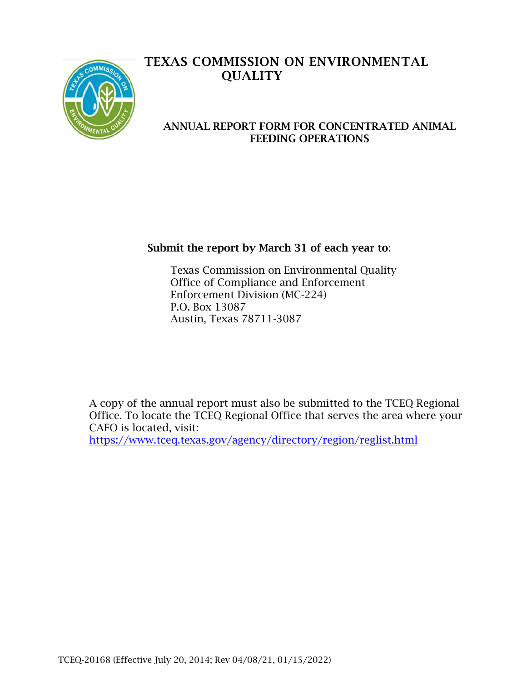

# TEXAS COMMISSION ON ENVIRONMENTAL **OUALITY**

### ANNUAL REPORT FORM FOR CONCENTRATED ANIMAL FEEDING OPERATIONS

# Submit the report by March 31 of each year to:

Texas Commission on Environmental Quality Office of Compliance and Enforcement Enforcement Division (MC-224) P.O. Box 13087 Austin, Texas 78711-3087

A copy of the annual report must also be submitted to the TCEQ Regional Office. To locate the TCEQ Regional Office that serves the area where your CAFO is located, visit: <https://www.tceq.texas.gov/agency/directory/region/reglist.html>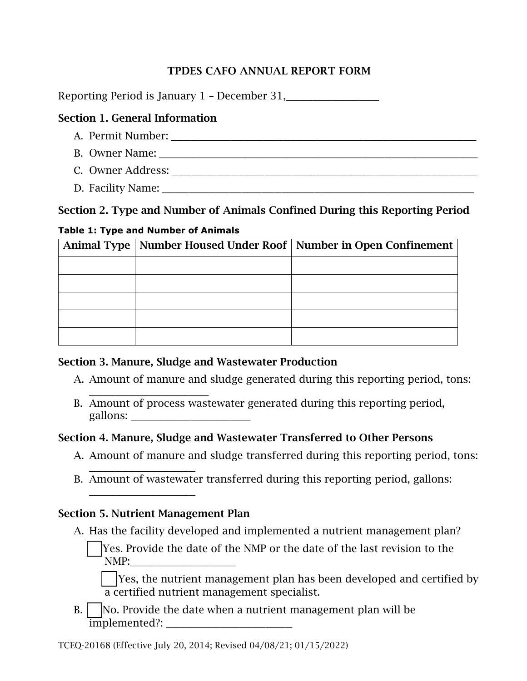# TPDES CAFO ANNUAL REPORT FORM

Reporting Period is January 1 - December 31,

# Section 1. General Information

- A. Permit Number: B. Owner Name:
- C. Owner Address: \_\_\_\_\_\_\_\_\_\_\_\_\_\_\_\_\_\_\_\_\_\_\_\_\_\_\_\_\_\_\_\_\_\_\_\_\_\_\_\_\_\_\_\_\_\_
- D. Facility Name:

# Section 2. Type and Number of Animals Confined During this Reporting Period

## **Table 1: Type and Number of Animals**

|  | Animal Type   Number Housed Under Roof   Number in Open Confinement |  |  |  |
|--|---------------------------------------------------------------------|--|--|--|
|  |                                                                     |  |  |  |
|  |                                                                     |  |  |  |
|  |                                                                     |  |  |  |
|  |                                                                     |  |  |  |
|  |                                                                     |  |  |  |

# Section 3. Manure, Sludge and Wastewater Production

- A. Amount of manure and sludge generated during this reporting period, tons:
- \_\_\_\_\_\_\_\_\_\_\_\_\_\_\_\_\_\_ B. Amount of process wastewater generated during this reporting period, gallons: \_\_\_\_\_\_\_\_\_\_\_\_\_\_\_\_\_\_

# Section 4. Manure, Sludge and Wastewater Transferred to Other Persons

- A. Amount of manure and sludge transferred during this reporting period, tons:
- \_\_\_\_\_\_\_\_\_\_\_\_\_\_\_\_ B. Amount of wastewater transferred during this reporting period, gallons: \_\_\_\_\_\_\_\_\_\_\_\_\_\_\_\_

# Section 5. Nutrient Management Plan

- A. Has the facility developed and implemented a nutrient management plan?
	- Yes. Provide the date of the NMP or the date of the last revision to the NMP:

 $\vert$  Yes, the nutrient management plan has been developed and certified by a certified nutrient management specialist.

 $B.$   $\vert$  No. Provide the date when a nutrient management plan will be implemented?: \_\_\_\_\_\_\_\_\_\_\_\_\_\_\_\_\_\_\_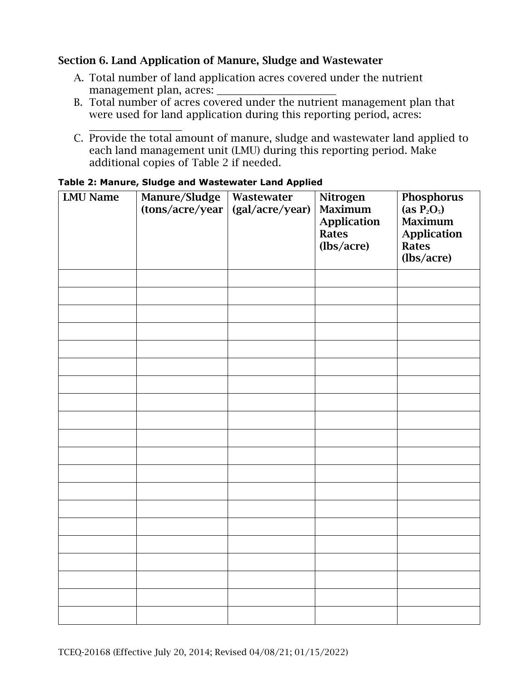## Section 6. Land Application of Manure, Sludge and Wastewater

- A. Total number of land application acres covered under the nutrient management plan, acres:
- B. Total number of acres covered under the nutrient management plan that were used for land application during this reporting period, acres:
- \_\_\_\_\_\_\_\_\_\_\_\_\_\_ C. Provide the total amount of manure, sludge and wastewater land applied to each land management unit (LMU) during this reporting period. Make additional copies of Table 2 if needed.

| <b>LMU Name</b> | Manure/Sludge<br>(tons/acre/year | Wastewater<br>(gal/acre/year) | Nitrogen<br>Maximum<br><b>Application</b><br>Rates<br>(lbs/acre) | Phosphorus<br>(as $\overline{P_2O_5}$ )<br><b>Maximum</b><br><b>Application</b><br><b>Rates</b><br>(lbs/acre) |
|-----------------|----------------------------------|-------------------------------|------------------------------------------------------------------|---------------------------------------------------------------------------------------------------------------|
|                 |                                  |                               |                                                                  |                                                                                                               |
|                 |                                  |                               |                                                                  |                                                                                                               |
|                 |                                  |                               |                                                                  |                                                                                                               |
|                 |                                  |                               |                                                                  |                                                                                                               |
|                 |                                  |                               |                                                                  |                                                                                                               |
|                 |                                  |                               |                                                                  |                                                                                                               |
|                 |                                  |                               |                                                                  |                                                                                                               |
|                 |                                  |                               |                                                                  |                                                                                                               |
|                 |                                  |                               |                                                                  |                                                                                                               |
|                 |                                  |                               |                                                                  |                                                                                                               |
|                 |                                  |                               |                                                                  |                                                                                                               |
|                 |                                  |                               |                                                                  |                                                                                                               |
|                 |                                  |                               |                                                                  |                                                                                                               |
|                 |                                  |                               |                                                                  |                                                                                                               |
|                 |                                  |                               |                                                                  |                                                                                                               |
|                 |                                  |                               |                                                                  |                                                                                                               |
|                 |                                  |                               |                                                                  |                                                                                                               |
|                 |                                  |                               |                                                                  |                                                                                                               |
|                 |                                  |                               |                                                                  |                                                                                                               |
|                 |                                  |                               |                                                                  |                                                                                                               |

#### **Table 2: Manure, Sludge and Wastewater Land Applied**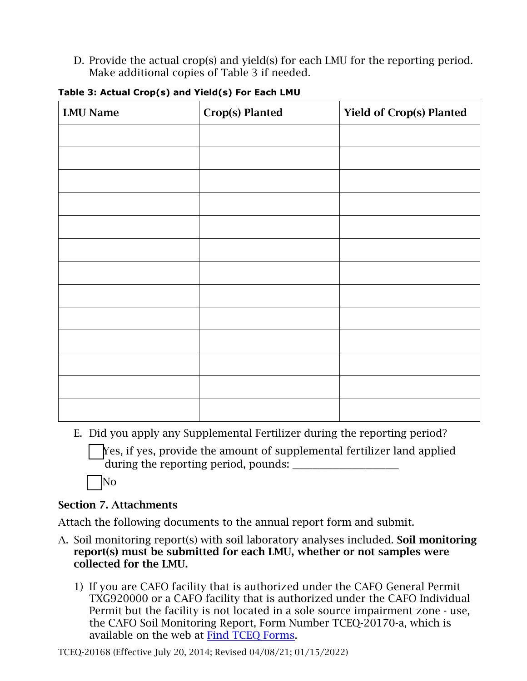D. Provide the actual crop(s) and yield(s) for each LMU for the reporting period. Make additional copies of Table 3 if needed.

| <b>LMU Name</b> | Crop(s) Planted | <b>Yield of Crop(s) Planted</b> |
|-----------------|-----------------|---------------------------------|
|                 |                 |                                 |
|                 |                 |                                 |
|                 |                 |                                 |
|                 |                 |                                 |
|                 |                 |                                 |
|                 |                 |                                 |
|                 |                 |                                 |
|                 |                 |                                 |
|                 |                 |                                 |
|                 |                 |                                 |
|                 |                 |                                 |
|                 |                 |                                 |
|                 |                 |                                 |

|  |  | Table 3: Actual Crop(s) and Yield(s) For Each LMU |  |  |
|--|--|---------------------------------------------------|--|--|
|  |  |                                                   |  |  |

E. Did you apply any Supplemental Fertilizer during the reporting period?

Yes, if yes, provide the amount of supplemental fertilizer land applied during the reporting period, pounds:

 $\overline{\rm No}$ 

## Section 7. Attachments

Attach the following documents to the annual report form and submit.

- A. Soil monitoring report(s) with soil laboratory analyses included. Soil monitoring report(s) must be submitted for each LMU, whether or not samples were collected for the LMU.
	- 1) If you are CAFO facility that is authorized under the CAFO General Permit TXG920000 or a CAFO facility that is authorized under the CAFO Individual Permit but the facility is not located in a sole source impairment zone - use, the CAFO Soil Monitoring Report, Form Number TCEQ-20170-a, which is available on the web at [Find TCEQ Forms.](https://www.tceq.texas.gov/publications/search_forms.html)

TCEQ-20168 (Effective July 20, 2014; Revised 04/08/21; 01/15/2022)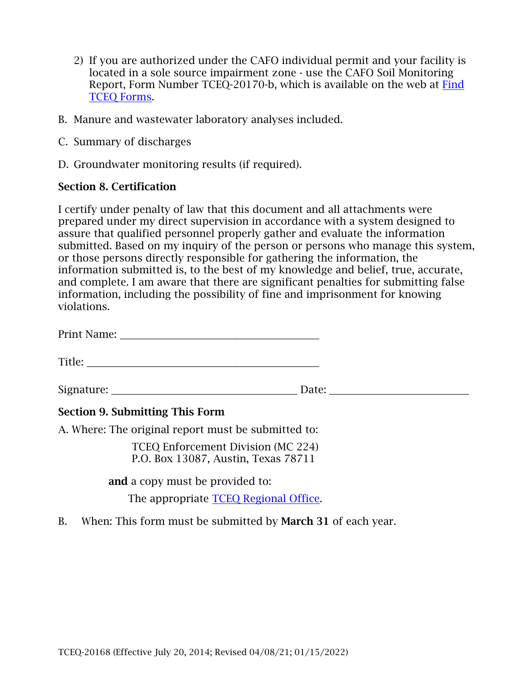- 2) If you are authorized under the CAFO individual permit and your facility is located in a sole source impairment zone - use the CAFO Soil Monitoring Report, Form Number TCEQ-20170-b, which is available on the web at [Find](https://www.tceq.texas.gov/publications/search_forms.html) [TCEQ Forms.](https://www.tceq.texas.gov/publications/search_forms.html)
- B. Manure and wastewater laboratory analyses included.
- C. Summary of discharges
- D. Groundwater monitoring results (if required).

## Section 8. Certification

I certify under penalty of law that this document and all attachments were prepared under my direct supervision in accordance with a system designed to assure that qualified personnel properly gather and evaluate the information submitted. Based on my inquiry of the person or persons who manage this system, or those persons directly responsible for gathering the information, the information submitted is, to the best of my knowledge and belief, true, accurate, and complete. I am aware that there are significant penalties for submitting false information, including the possibility of fine and imprisonment for knowing violations.

Title: \_\_\_\_\_\_\_\_\_\_\_\_\_\_\_\_\_\_\_\_\_\_\_\_\_\_\_\_\_\_\_\_\_\_\_

Signature: \_\_\_\_\_\_\_\_\_\_\_\_\_\_\_\_\_\_\_\_\_\_\_\_\_\_\_\_ Date: \_\_\_\_\_\_\_\_\_\_\_\_\_\_\_\_\_\_\_\_\_

## Section 9. Submitting This Form

A. Where: The original report must be submitted to:

TCEQ Enforcement Division (MC 224) P.O. Box 13087, Austin, Texas 78711

and a copy must be provided to:

The appropriate [TCEQ Regional Office.](https://www.tceq.texas.gov/agency/directory/region/reglist.html)

B. When: This form must be submitted by **March 31** of each year.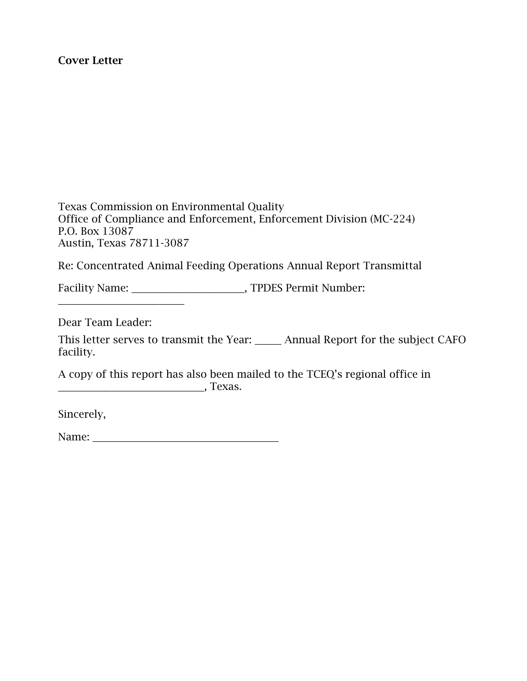#### Cover Letter

Texas Commission on Environmental Quality Office of Compliance and Enforcement, Enforcement Division (MC-224) P.O. Box 13087 Austin, Texas 78711-3087

Re: Concentrated Animal Feeding Operations Annual Report Transmittal

Facility Name: TPDES Permit Number:

Dear Team Leader:

\_\_\_\_\_\_\_\_\_\_\_\_\_\_\_\_\_\_\_

This letter serves to transmit the Year: \_\_\_\_ Annual Report for the subject CAFO facility.

A copy of this report has also been mailed to the TCEQ's regional office in **\_\_\_\_\_\_\_\_\_\_\_\_\_\_\_\_\_\_\_\_\_\_\_\_\_\_\_\_\_**, Техаз.

Sincerely,

Name: \_\_\_\_\_\_\_\_\_\_\_\_\_\_\_\_\_\_\_\_\_\_\_\_\_\_\_\_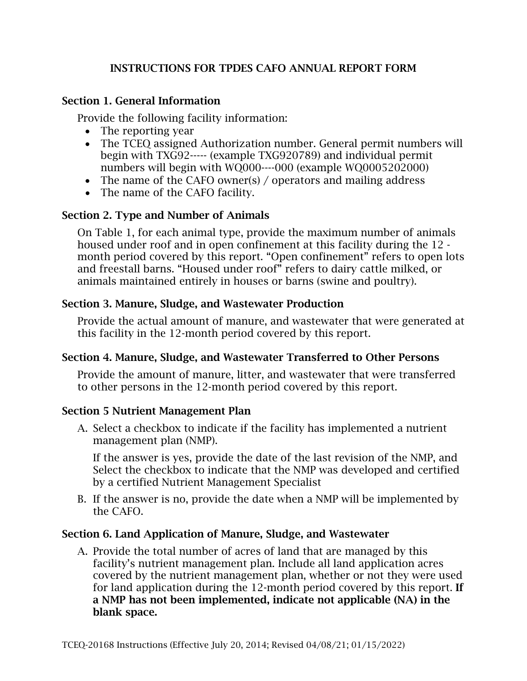## INSTRUCTIONS FOR TPDES CAFO ANNUAL REPORT FORM

## Section 1. General Information

Provide the following facility information:

- The reporting year
- The TCEQ assigned Authorization number. General permit numbers will begin with TXG92----- (example TXG920789) and individual permit numbers will begin with WQ000----000 (example WQ0005202000)
- The name of the CAFO owner(s) / operators and mailing address
- The name of the CAFO facility.

## Section 2. Type and Number of Animals

On Table 1, for each animal type, provide the maximum number of animals housed under roof and in open confinement at this facility during the 12 month period covered by this report. "Open confinement" refers to open lots and freestall barns. "Housed under roof" refers to dairy cattle milked, or animals maintained entirely in houses or barns (swine and poultry).

## Section 3. Manure, Sludge, and Wastewater Production

Provide the actual amount of manure, and wastewater that were generated at this facility in the 12-month period covered by this report.

### Section 4. Manure, Sludge, and Wastewater Transferred to Other Persons

Provide the amount of manure, litter, and wastewater that were transferred to other persons in the 12-month period covered by this report.

## Section 5 Nutrient Management Plan

A. Select a checkbox to indicate if the facility has implemented a nutrient management plan (NMP).

If the answer is yes, provide the date of the last revision of the NMP, and Select the checkbox to indicate that the NMP was developed and certified by a certified Nutrient Management Specialist

B. If the answer is no, provide the date when a NMP will be implemented by the CAFO.

## Section 6. Land Application of Manure, Sludge, and Wastewater

A. Provide the total number of acres of land that are managed by this facility's nutrient management plan. Include all land application acres covered by the nutrient management plan, whether or not they were used for land application during the 12-month period covered by this report. If a NMP has not been implemented, indicate not applicable (NA) in the blank space.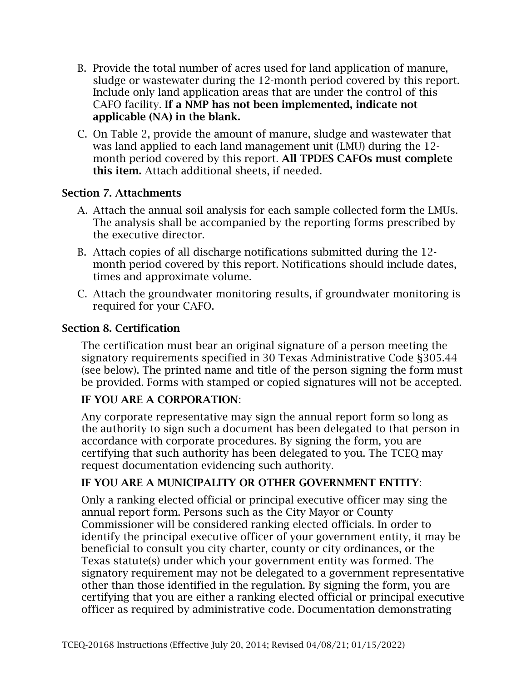- B. Provide the total number of acres used for land application of manure, sludge or wastewater during the 12-month period covered by this report. Include only land application areas that are under the control of this CAFO facility. If a NMP has not been implemented, indicate not applicable (NA) in the blank.
- C. On Table 2, provide the amount of manure, sludge and wastewater that was land applied to each land management unit (LMU) during the 12 month period covered by this report. All TPDES CAFOs must complete this item. Attach additional sheets, if needed.

## Section 7. Attachments

- A. Attach the annual soil analysis for each sample collected form the LMUs. The analysis shall be accompanied by the reporting forms prescribed by the executive director.
- B. Attach copies of all discharge notifications submitted during the 12 month period covered by this report. Notifications should include dates, times and approximate volume.
- C. Attach the groundwater monitoring results, if groundwater monitoring is required for your CAFO.

## Section 8. Certification

The certification must bear an original signature of a person meeting the signatory requirements specified in 30 Texas Administrative Code §305.44 (see below). The printed name and title of the person signing the form must be provided. Forms with stamped or copied signatures will not be accepted.

### IF YOU ARE A CORPORATION:

Any corporate representative may sign the annual report form so long as the authority to sign such a document has been delegated to that person in accordance with corporate procedures. By signing the form, you are certifying that such authority has been delegated to you. The TCEQ may request documentation evidencing such authority.

### IF YOU ARE A MUNICIPALITY OR OTHER GOVERNMENT ENTITY:

Only a ranking elected official or principal executive officer may sing the annual report form. Persons such as the City Mayor or County Commissioner will be considered ranking elected officials. In order to identify the principal executive officer of your government entity, it may be beneficial to consult you city charter, county or city ordinances, or the Texas statute(s) under which your government entity was formed. The signatory requirement may not be delegated to a government representative other than those identified in the regulation. By signing the form, you are certifying that you are either a ranking elected official or principal executive officer as required by administrative code. Documentation demonstrating